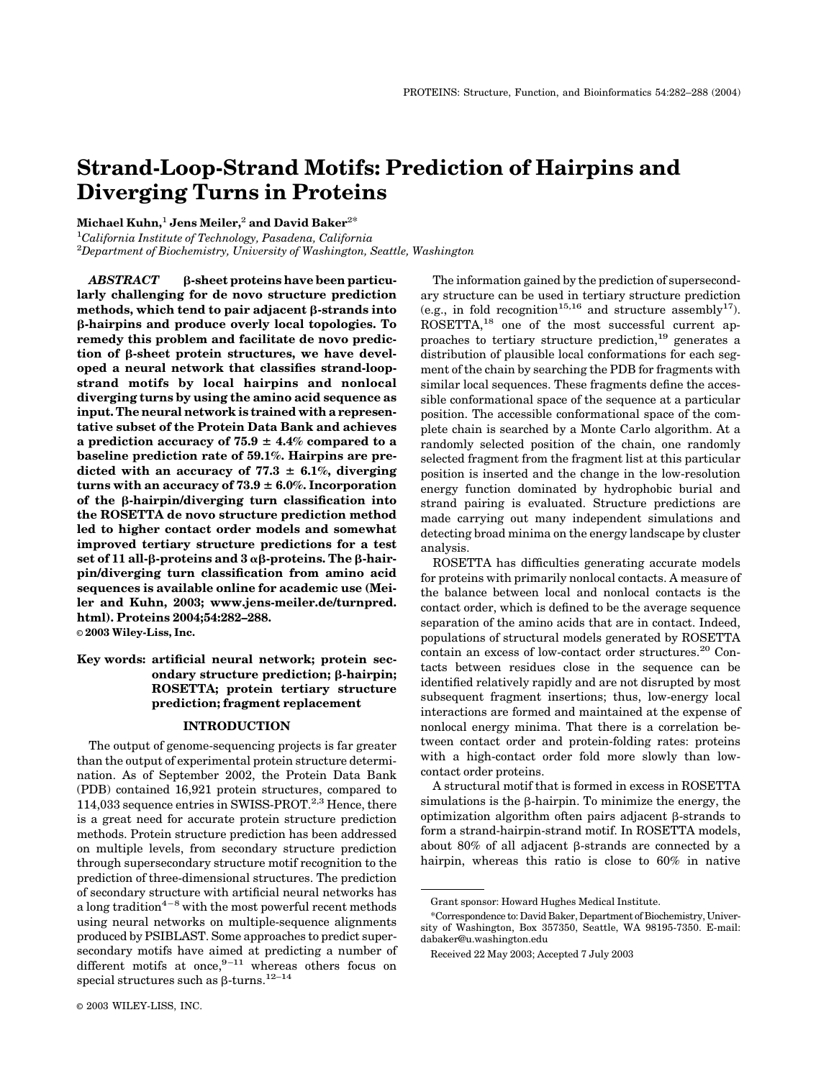# **Strand-Loop-Strand Motifs: Prediction of Hairpins and Diverging Turns in Proteins**

**Michael Kuhn,**<sup>1</sup> **Jens Meiler,**<sup>2</sup> **and David Baker**2\*

1 *California Institute of Technology, Pasadena, California* 2 *Department of Biochemistry, University of Washington, Seattle, Washington*

ABSTRACT β-sheet proteins have been particu**larly challenging for de novo structure prediction**  $methods$ , which tend to pair adjacent  $\beta$ -strands into **-hairpins and produce overly local topologies. To remedy this problem and facilitate de novo predic**tion of β-sheet protein structures, we have devel**oped a neural network that classifies strand-loopstrand motifs by local hairpins and nonlocal diverging turns by using the amino acid sequence as input. The neural network is trained with a representative subset of the Protein Data Bank and achieves** a prediction accuracy of  $75.9 \pm 4.4\%$  compared to a **baseline prediction rate of 59.1%. Hairpins are pre**dicted with an accuracy of  $77.3 \pm 6.1\%$ , diverging turns with an accuracy of 73.9  $\pm$  6.0%. Incorporation **of the -hairpin/diverging turn classification into the ROSETTA de novo structure prediction method led to higher contact order models and somewhat improved tertiary structure predictions for a test**  $\operatorname{set}$  of 11 all- $\beta$ -proteins and  $3 \alpha \beta$ -proteins. The  $\beta$ -hair**pin/diverging turn classification from amino acid sequences is available online for academic use (Meiler and Kuhn, 2003; www.jens-meiler.de/turnpred. html). Proteins 2004;54:282–288.** © **2003 Wiley-Liss, Inc.**

**Key words: artificial neural network; protein secondary structure prediction; -hairpin;**

# **INTRODUCTION**

**ROSETTA; protein tertiary structure prediction; fragment replacement**

The output of genome-sequencing projects is far greater than the output of experimental protein structure determination. As of September 2002, the Protein Data Bank (PDB) contained 16,921 protein structures, compared to 114,033 sequence entries in SWISS-PROT.2,3 Hence, there is a great need for accurate protein structure prediction methods. Protein structure prediction has been addressed on multiple levels, from secondary structure prediction through supersecondary structure motif recognition to the prediction of three-dimensional structures. The prediction of secondary structure with artificial neural networks has a long tradition<sup>4-8</sup> with the most powerful recent methods using neural networks on multiple-sequence alignments produced by PSIBLAST. Some approaches to predict supersecondary motifs have aimed at predicting a number of different motifs at once, $9-11$  whereas others focus on special structures such as  $\upbeta\text{-turns}.^{12-14}$ 

The information gained by the prediction of supersecondary structure can be used in tertiary structure prediction (e.g., in fold recognition<sup>15,16</sup> and structure assembly<sup>17</sup>). ROSETTA,<sup>18</sup> one of the most successful current approaches to tertiary structure prediction,<sup>19</sup> generates a distribution of plausible local conformations for each segment of the chain by searching the PDB for fragments with similar local sequences. These fragments define the accessible conformational space of the sequence at a particular position. The accessible conformational space of the complete chain is searched by a Monte Carlo algorithm. At a randomly selected position of the chain, one randomly selected fragment from the fragment list at this particular position is inserted and the change in the low-resolution energy function dominated by hydrophobic burial and strand pairing is evaluated. Structure predictions are made carrying out many independent simulations and detecting broad minima on the energy landscape by cluster analysis.

ROSETTA has difficulties generating accurate models for proteins with primarily nonlocal contacts. A measure of the balance between local and nonlocal contacts is the contact order, which is defined to be the average sequence separation of the amino acids that are in contact. Indeed, populations of structural models generated by ROSETTA contain an excess of low-contact order structures.20 Contacts between residues close in the sequence can be identified relatively rapidly and are not disrupted by most subsequent fragment insertions; thus, low-energy local interactions are formed and maintained at the expense of nonlocal energy minima. That there is a correlation between contact order and protein-folding rates: proteins with a high-contact order fold more slowly than lowcontact order proteins.

A structural motif that is formed in excess in ROSETTA simulations is the  $\beta$ -hairpin. To minimize the energy, the optimization algorithm often pairs adjacent  $\beta$ -strands to form a strand-hairpin-strand motif. In ROSETTA models, about 80% of all adjacent  $\beta$ -strands are connected by a hairpin, whereas this ratio is close to 60% in native

Grant sponsor: Howard Hughes Medical Institute.

<sup>\*</sup>Correspondence to: David Baker, Department of Biochemistry, University of Washington, Box 357350, Seattle, WA 98195-7350. E-mail: dabaker@u.washington.edu

Received 22 May 2003; Accepted 7 July 2003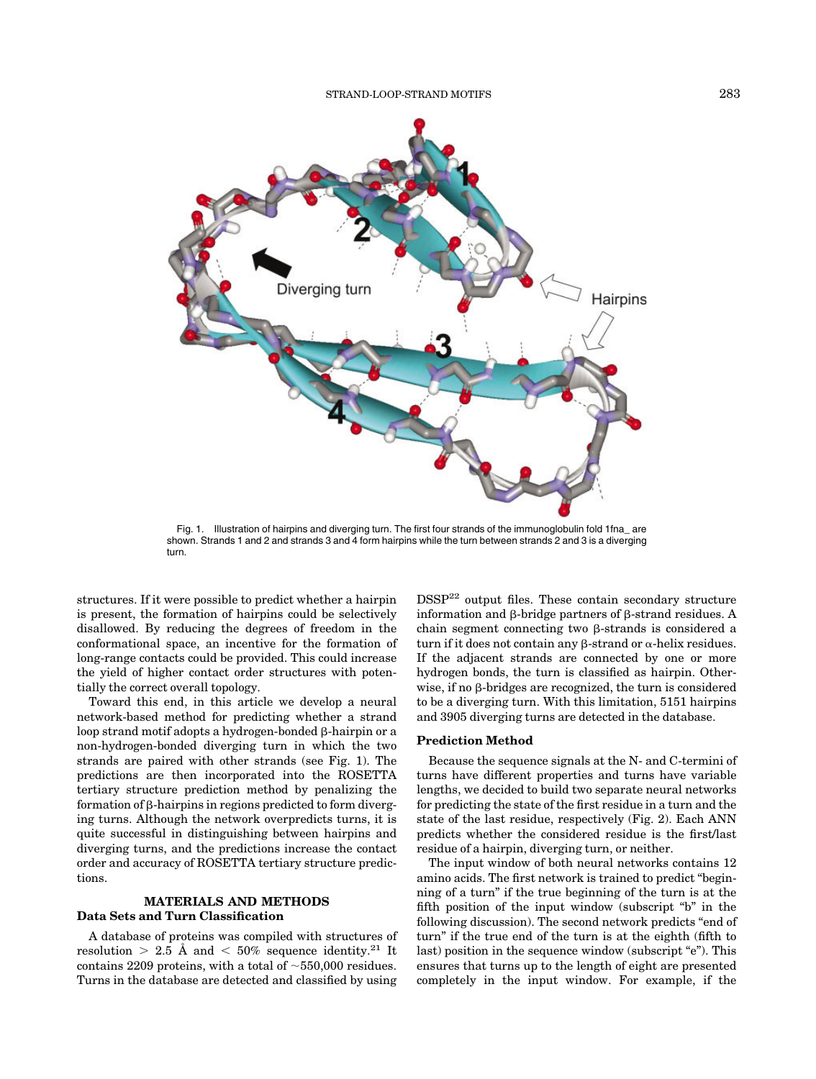

Fig. 1. Illustration of hairpins and diverging turn. The first four strands of the immunoglobulin fold 1fna\_ are shown. Strands 1 and 2 and strands 3 and 4 form hairpins while the turn between strands 2 and 3 is a diverging turn.

structures. If it were possible to predict whether a hairpin is present, the formation of hairpins could be selectively disallowed. By reducing the degrees of freedom in the conformational space, an incentive for the formation of long-range contacts could be provided. This could increase the yield of higher contact order structures with potentially the correct overall topology.

Toward this end, in this article we develop a neural network-based method for predicting whether a strand  $loop$  strand motif adopts a hydrogen-bonded  $\beta$ -hairpin or a non-hydrogen-bonded diverging turn in which the two strands are paired with other strands (see Fig. 1). The predictions are then incorporated into the ROSETTA tertiary structure prediction method by penalizing the formation of  $\beta$ -hairpins in regions predicted to form diverging turns. Although the network overpredicts turns, it is quite successful in distinguishing between hairpins and diverging turns, and the predictions increase the contact order and accuracy of ROSETTA tertiary structure predictions.

# **MATERIALS AND METHODS Data Sets and Turn Classification**

A database of proteins was compiled with structures of resolution  $> 2.5$  Å and  $< 50\%$  sequence identity.<sup>21</sup> It contains 2209 proteins, with a total of  $\sim$  550,000 residues. Turns in the database are detected and classified by using  $\mathrm{DSSP^{22}}$  output files. These contain secondary structure information and  $\beta$ -bridge partners of  $\beta$ -strand residues. A chain segment connecting two  $\beta$ -strands is considered a turn if it does not contain any  $\beta$ -strand or  $\alpha$ -helix residues. If the adjacent strands are connected by one or more hydrogen bonds, the turn is classified as hairpin. Otherwise, if no  $\beta$ -bridges are recognized, the turn is considered to be a diverging turn. With this limitation, 5151 hairpins and 3905 diverging turns are detected in the database.

## **Prediction Method**

Because the sequence signals at the N- and C-termini of turns have different properties and turns have variable lengths, we decided to build two separate neural networks for predicting the state of the first residue in a turn and the state of the last residue, respectively (Fig. 2). Each ANN predicts whether the considered residue is the first/last residue of a hairpin, diverging turn, or neither.

The input window of both neural networks contains 12 amino acids. The first network is trained to predict "beginning of a turn" if the true beginning of the turn is at the fifth position of the input window (subscript "b" in the following discussion). The second network predicts "end of turn" if the true end of the turn is at the eighth (fifth to last) position in the sequence window (subscript "e"). This ensures that turns up to the length of eight are presented completely in the input window. For example, if the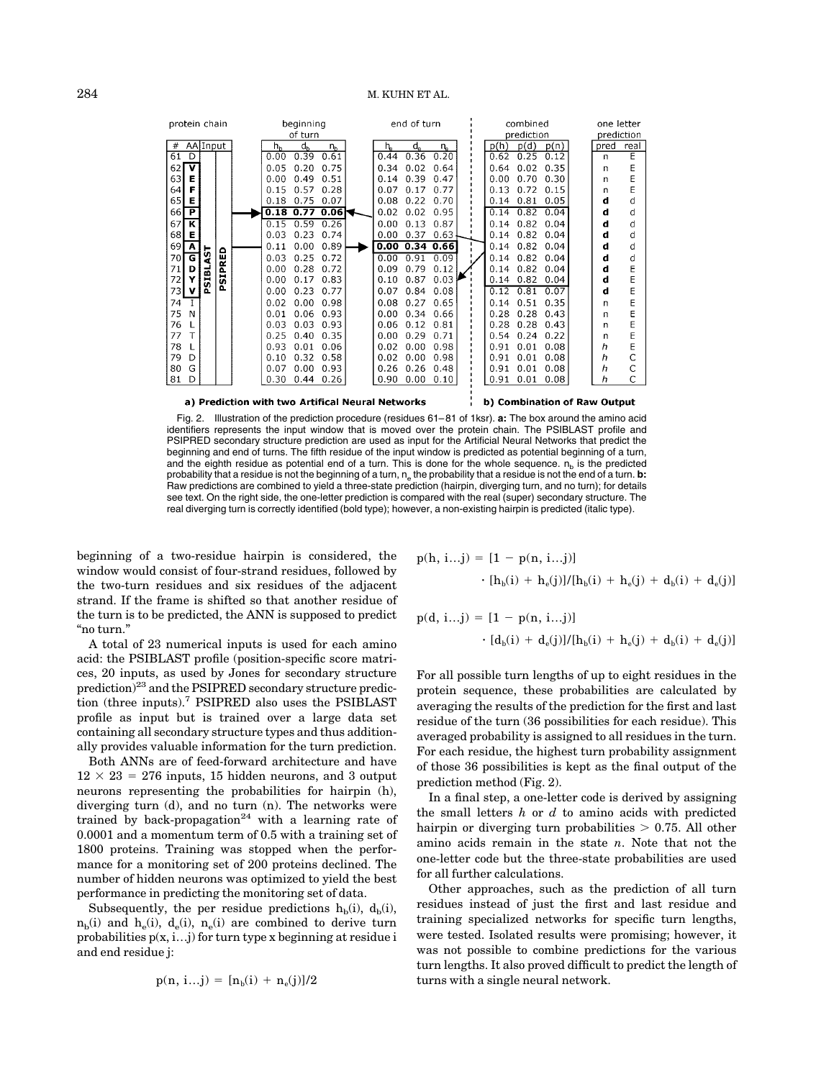

Fig. 2. Illustration of the prediction procedure (residues 61– 81 of 1ksr). **a:** The box around the amino acid identifiers represents the input window that is moved over the protein chain. The PSIBLAST profile and PSIPRED secondary structure prediction are used as input for the Artificial Neural Networks that predict the beginning and end of turns. The fifth residue of the input window is predicted as potential beginning of a turn, and the eighth residue as potential end of a turn. This is done for the whole sequence.  $n_{\mu}$  is the predicted probability that a residue is not the beginning of a turn, n<sub>e</sub> the probability that a residue is not the end of a turn. **b:** Raw predictions are combined to yield a three-state prediction (hairpin, diverging turn, and no turn); for details see text. On the right side, the one-letter prediction is compared with the real (super) secondary structure. The real diverging turn is correctly identified (bold type); however, a non-existing hairpin is predicted (italic type).

beginning of a two-residue hairpin is considered, the window would consist of four-strand residues, followed by the two-turn residues and six residues of the adjacent strand. If the frame is shifted so that another residue of the turn is to be predicted, the ANN is supposed to predict "no turn."

A total of 23 numerical inputs is used for each amino acid: the PSIBLAST profile (position-specific score matrices, 20 inputs, as used by Jones for secondary structure  $prediction)^{23}$  and the PSIPRED secondary structure prediction (three inputs).7 PSIPRED also uses the PSIBLAST profile as input but is trained over a large data set containing all secondary structure types and thus additionally provides valuable information for the turn prediction.

Both ANNs are of feed-forward architecture and have  $12 \times 23 = 276$  inputs, 15 hidden neurons, and 3 output neurons representing the probabilities for hairpin (h), diverging turn (d), and no turn (n). The networks were trained by back-propagation<sup>24</sup> with a learning rate of 0.0001 and a momentum term of 0.5 with a training set of 1800 proteins. Training was stopped when the performance for a monitoring set of 200 proteins declined. The number of hidden neurons was optimized to yield the best performance in predicting the monitoring set of data.

Subsequently, the per residue predictions  $h_b(i)$ ,  $d_b(i)$ ,  $n_b(i)$  and  $h_c(i)$ ,  $d_c(i)$ ,  $n_c(i)$  are combined to derive turn probabilities p(x, i…j) for turn type x beginning at residue i and end residue j:

$$
p(n, i...j) = [n_b(i) + n_e(j)]/2
$$

$$
p(h, i...j) = [1 - p(n, i...j)]
$$
  
 
$$
\cdot [h_b(i) + h_e(j)]/[h_b(i) + h_e(j) + d_b(i) + d_e(j)]
$$

$$
p(d, i...j) = [1 - p(n, i...j)]
$$

$$
{} \cdot \ [d_b(i) \, + \, d_e(j)] / [h_b(i) \, + \, h_e(j) \, + \, d_b(i) \, + \, d_e(j)]
$$

For all possible turn lengths of up to eight residues in the protein sequence, these probabilities are calculated by averaging the results of the prediction for the first and last residue of the turn (36 possibilities for each residue). This averaged probability is assigned to all residues in the turn. For each residue, the highest turn probability assignment of those 36 possibilities is kept as the final output of the prediction method (Fig. 2).

In a final step, a one-letter code is derived by assigning the small letters *h* or *d* to amino acids with predicted hairpin or diverging turn probabilities  $> 0.75$ . All other amino acids remain in the state *n*. Note that not the one-letter code but the three-state probabilities are used for all further calculations.

Other approaches, such as the prediction of all turn residues instead of just the first and last residue and training specialized networks for specific turn lengths, were tested. Isolated results were promising; however, it was not possible to combine predictions for the various turn lengths. It also proved difficult to predict the length of turns with a single neural network.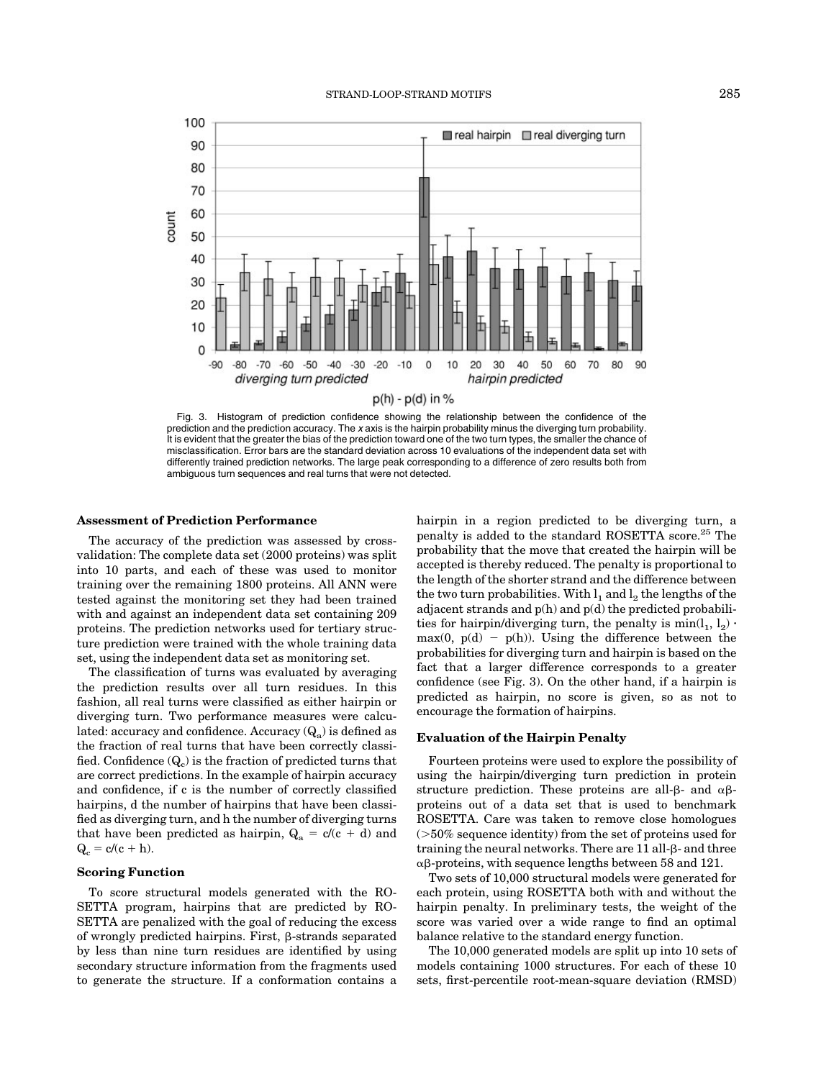

Fig. 3. Histogram of prediction confidence showing the relationship between the confidence of the prediction and the prediction accuracy. The x axis is the hairpin probability minus the diverging turn probability. It is evident that the greater the bias of the prediction toward one of the two turn types, the smaller the chance of misclassification. Error bars are the standard deviation across 10 evaluations of the independent data set with differently trained prediction networks. The large peak corresponding to a difference of zero results both from ambiguous turn sequences and real turns that were not detected.

### **Assessment of Prediction Performance**

The accuracy of the prediction was assessed by crossvalidation: The complete data set (2000 proteins) was split into 10 parts, and each of these was used to monitor training over the remaining 1800 proteins. All ANN were tested against the monitoring set they had been trained with and against an independent data set containing 209 proteins. The prediction networks used for tertiary structure prediction were trained with the whole training data set, using the independent data set as monitoring set.

The classification of turns was evaluated by averaging the prediction results over all turn residues. In this fashion, all real turns were classified as either hairpin or diverging turn. Two performance measures were calculated: accuracy and confidence. Accuracy  $(Q_a)$  is defined as the fraction of real turns that have been correctly classified. Confidence  $(Q<sub>c</sub>)$  is the fraction of predicted turns that are correct predictions. In the example of hairpin accuracy and confidence, if c is the number of correctly classified hairpins, d the number of hairpins that have been classified as diverging turn, and h the number of diverging turns that have been predicted as hairpin,  $Q_a = c/(c + d)$  and  $Q_c = c/(c + h)$ .

# **Scoring Function**

To score structural models generated with the RO-SETTA program, hairpins that are predicted by RO-SETTA are penalized with the goal of reducing the excess of wrongly predicted hairpins. First,  $\beta$ -strands separated by less than nine turn residues are identified by using secondary structure information from the fragments used to generate the structure. If a conformation contains a

hairpin in a region predicted to be diverging turn, a penalty is added to the standard ROSETTA score.<sup>25</sup> The probability that the move that created the hairpin will be accepted is thereby reduced. The penalty is proportional to the length of the shorter strand and the difference between the two turn probabilities. With  $l_1$  and  $l_2$  the lengths of the adjacent strands and p(h) and p(d) the predicted probabilities for hairpin/diverging turn, the penalty is  $min(l_1, l_2)$ .  $max(0, p(d) - p(h))$ . Using the difference between the probabilities for diverging turn and hairpin is based on the fact that a larger difference corresponds to a greater confidence (see Fig. 3). On the other hand, if a hairpin is predicted as hairpin, no score is given, so as not to encourage the formation of hairpins.

#### **Evaluation of the Hairpin Penalty**

Fourteen proteins were used to explore the possibility of using the hairpin/diverging turn prediction in protein structure prediction. These proteins are all- $\beta$ - and  $\alpha\beta$ proteins out of a data set that is used to benchmark ROSETTA. Care was taken to remove close homologues  $($ >50% sequence identity) from the set of proteins used for training the neural networks. There are  $11$  all- $\beta$ - and three  $\alpha\beta$ -proteins, with sequence lengths between 58 and 121.

Two sets of 10,000 structural models were generated for each protein, using ROSETTA both with and without the hairpin penalty. In preliminary tests, the weight of the score was varied over a wide range to find an optimal balance relative to the standard energy function.

The 10,000 generated models are split up into 10 sets of models containing 1000 structures. For each of these 10 sets, first-percentile root-mean-square deviation (RMSD)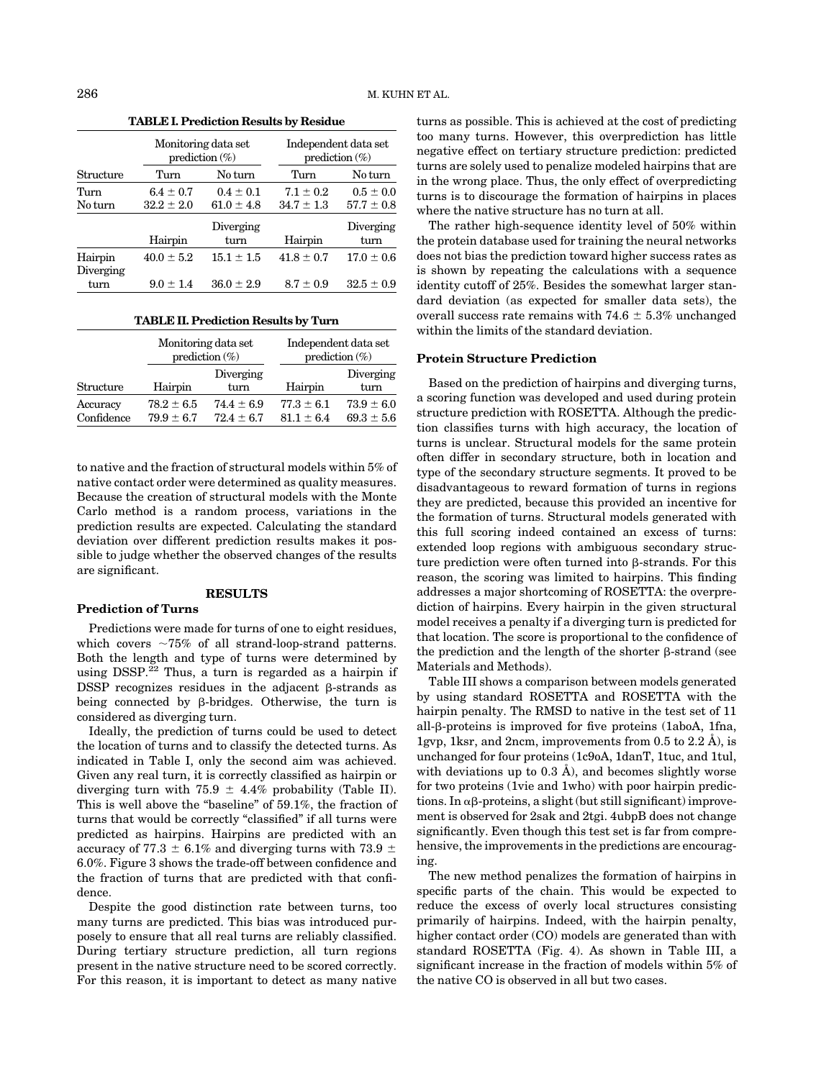|                      |                | Monitoring data set<br>prediction $(\%)$ | Independent data set<br>prediction $(\%)$ |                   |  |  |
|----------------------|----------------|------------------------------------------|-------------------------------------------|-------------------|--|--|
| Structure            | Turn           | No turn                                  | Turn                                      | No turn           |  |  |
| Turn                 | $6.4 \pm 0.7$  | $0.4 \pm 0.1$                            | $7.1 \pm 0.2$                             | $0.5 \pm 0.0$     |  |  |
| No turn              | $32.2 \pm 2.0$ | $61.0 \pm 4.8$                           | $34.7 \pm 1.3$                            | $57.7 \pm 0.8$    |  |  |
|                      | Hairpin        | Diverging<br>turn                        | Hairpin                                   | Diverging<br>turn |  |  |
| Hairpin<br>Diverging | $40.0 \pm 5.2$ | $15.1 \pm 1.5$                           | $41.8 \pm 0.7$                            | $17.0 \pm 0.6$    |  |  |
| turn                 | $9.0 \pm 1.4$  | $36.0 \pm 2.9$                           | $8.7 \pm 0.9$                             | $32.5 \pm 0.9$    |  |  |

**TABLE I. Prediction Results by Residue**

| TABLE II. Prediction Results by Turn |  |  |
|--------------------------------------|--|--|
|--------------------------------------|--|--|

|                        |                                  | Monitoring data set<br>prediction $(\%)$ | Independent data set<br>prediction $(\%)$ |                                  |  |
|------------------------|----------------------------------|------------------------------------------|-------------------------------------------|----------------------------------|--|
| Structure              | Hairpin                          | Diverging<br>turn                        | Hairpin                                   | Diverging<br>turn                |  |
| Accuracy<br>Confidence | $78.2 \pm 6.5$<br>$79.9 \pm 6.7$ | $74.4 \pm 6.9$<br>$72.4 \pm 6.7$         | $77.3 \pm 6.1$<br>$81.1 \pm 6.4$          | $73.9 \pm 6.0$<br>$69.3 \pm 5.6$ |  |

to native and the fraction of structural models within 5% of native contact order were determined as quality measures. Because the creation of structural models with the Monte Carlo method is a random process, variations in the prediction results are expected. Calculating the standard deviation over different prediction results makes it possible to judge whether the observed changes of the results are significant.

## **RESULTS**

## **Prediction of Turns**

Predictions were made for turns of one to eight residues, which covers  $\sim 75\%$  of all strand-loop-strand patterns. Both the length and type of turns were determined by using DSSP. $^{22}$  Thus, a turn is regarded as a hairpin if  $DSSP$  recognizes residues in the adjacent  $\beta$ -strands as being connected by  $\beta$ -bridges. Otherwise, the turn is considered as diverging turn.

Ideally, the prediction of turns could be used to detect the location of turns and to classify the detected turns. As indicated in Table I, only the second aim was achieved. Given any real turn, it is correctly classified as hairpin or diverging turn with  $75.9 \pm 4.4\%$  probability (Table II). This is well above the "baseline" of 59.1%, the fraction of turns that would be correctly "classified" if all turns were predicted as hairpins. Hairpins are predicted with an accuracy of 77.3  $\pm$  6.1% and diverging turns with 73.9  $\pm$ 6.0%. Figure 3 shows the trade-off between confidence and the fraction of turns that are predicted with that confidence.

Despite the good distinction rate between turns, too many turns are predicted. This bias was introduced purposely to ensure that all real turns are reliably classified. During tertiary structure prediction, all turn regions present in the native structure need to be scored correctly. For this reason, it is important to detect as many native

turns as possible. This is achieved at the cost of predicting too many turns. However, this overprediction has little negative effect on tertiary structure prediction: predicted turns are solely used to penalize modeled hairpins that are in the wrong place. Thus, the only effect of overpredicting turns is to discourage the formation of hairpins in places where the native structure has no turn at all.

The rather high-sequence identity level of 50% within the protein database used for training the neural networks does not bias the prediction toward higher success rates as is shown by repeating the calculations with a sequence identity cutoff of 25%. Besides the somewhat larger standard deviation (as expected for smaller data sets), the overall success rate remains with  $74.6 \pm 5.3\%$  unchanged within the limits of the standard deviation.

## **Protein Structure Prediction**

Based on the prediction of hairpins and diverging turns, a scoring function was developed and used during protein structure prediction with ROSETTA. Although the prediction classifies turns with high accuracy, the location of turns is unclear. Structural models for the same protein often differ in secondary structure, both in location and type of the secondary structure segments. It proved to be disadvantageous to reward formation of turns in regions they are predicted, because this provided an incentive for the formation of turns. Structural models generated with this full scoring indeed contained an excess of turns: extended loop regions with ambiguous secondary structure prediction were often turned into  $\beta$ -strands. For this reason, the scoring was limited to hairpins. This finding addresses a major shortcoming of ROSETTA: the overprediction of hairpins. Every hairpin in the given structural model receives a penalty if a diverging turn is predicted for that location. The score is proportional to the confidence of the prediction and the length of the shorter  $\upbeta\text{-strand}$  (see Materials and Methods).

Table III shows a comparison between models generated by using standard ROSETTA and ROSETTA with the hairpin penalty. The RMSD to native in the test set of 11 all-<sub>B</sub>-proteins is improved for five proteins (1aboA, 1fna, 1gvp, 1ksr, and 2ncm, improvements from  $0.5$  to  $2.2$  Å), is unchanged for four proteins (1c9oA, 1danT, 1tuc, and 1tul, with deviations up to  $0.3 \text{ Å}$ ), and becomes slightly worse for two proteins (1vie and 1who) with poor hairpin predictions. In  $\alpha\beta$ -proteins, a slight (but still significant) improvement is observed for 2sak and 2tgi. 4ubpB does not change significantly. Even though this test set is far from comprehensive, the improvements in the predictions are encouraging.

The new method penalizes the formation of hairpins in specific parts of the chain. This would be expected to reduce the excess of overly local structures consisting primarily of hairpins. Indeed, with the hairpin penalty, higher contact order (CO) models are generated than with standard ROSETTA (Fig. 4). As shown in Table III, a significant increase in the fraction of models within 5% of the native CO is observed in all but two cases.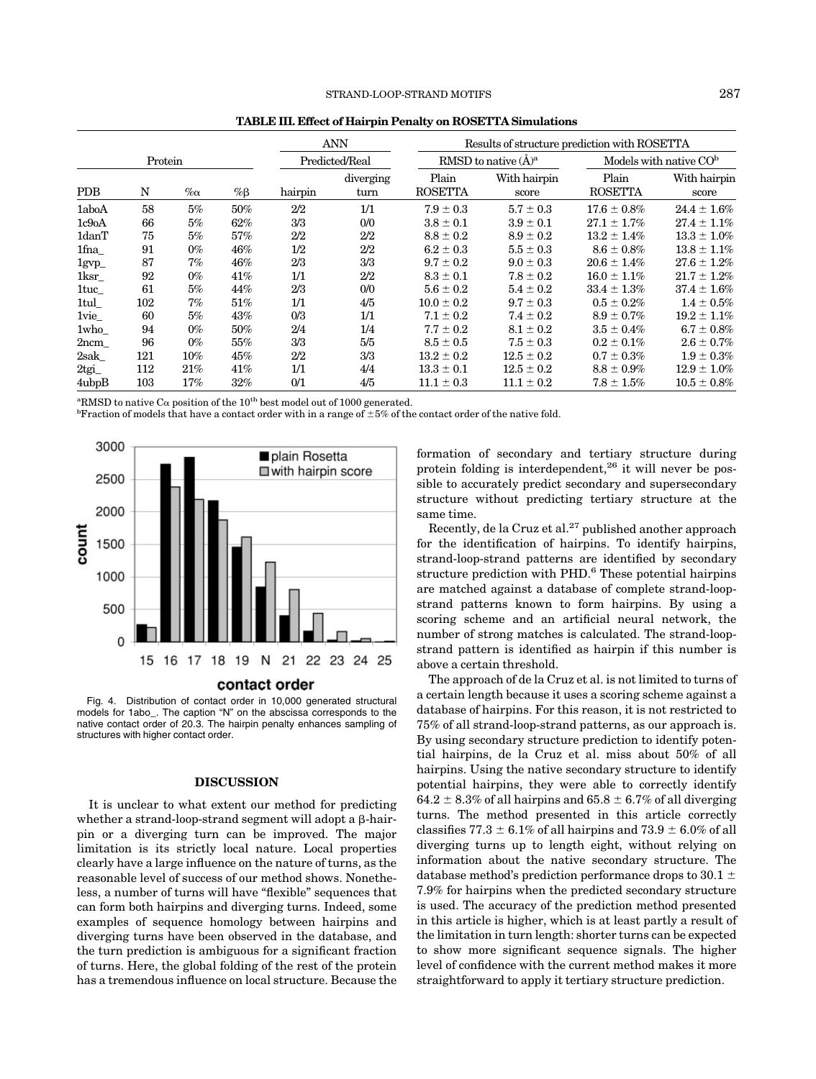# STRAND-LOOP-STRAND MOTIFS 287

**TABLE III. Effect of Hairpin Penalty on ROSETTA Simulations** Protein ANN Results of structure prediction with ROSETTA Predicted/Real RMSD to native  $(A)^a$  Models with native  $CO^b$ diverging turn Plain ROSETTA With hairpin score Plain ROSETTA

| <b>PDB</b> | N   | $\% \alpha$ | $%$ $\beta$ | hairpin | diverging<br>turn | Plain<br><b>ROSETTA</b> | With hairpin<br>score | Plain<br><b>ROSETTA</b> | With hairpin<br>score |
|------------|-----|-------------|-------------|---------|-------------------|-------------------------|-----------------------|-------------------------|-----------------------|
| 1aboA      | 58  | 5%          | 50%         | 2/2     | 1/1               | $7.9 \pm 0.3$           | $5.7 \pm 0.3$         | $17.6 \pm 0.8\%$        | $24.4 \pm 1.6\%$      |
| 1c9oA      | 66  | 5%          | 62%         | 3/3     | 0/0               | $3.8 \pm 0.1$           | $3.9 \pm 0.1$         | $27.1 \pm 1.7\%$        | $27.4 \pm 1.1\%$      |
| 1danT      | 75  | 5%          | 57%         | 2/2     | 2/2               | $8.8 \pm 0.2$           | $8.9 \pm 0.2$         | $13.2 \pm 1.4\%$        | $13.3 \pm 1.0\%$      |
| 1fna       | 91  | $0\%$       | 46%         | 1/2     | 2/2               | $6.2 \pm 0.3$           | $5.5 \pm 0.3$         | $8.6 \pm 0.8\%$         | $13.8 \pm 1.1\%$      |
| 1gyp       | 87  | $7\%$       | 46%         | 2/3     | 3/3               | $9.7 \pm 0.2$           | $9.0 \pm 0.3$         | $20.6 \pm 1.4\%$        | $27.6 \pm 1.2\%$      |
| 1ksr_      | 92  | $0\%$       | 41%         | 1/1     | 2/2               | $8.3 \pm 0.1$           | $7.8 \pm 0.2$         | $16.0 \pm 1.1\%$        | $21.7 \pm 1.2\%$      |
| 1tuc       | 61  | $5\%$       | 44%         | 2/3     | 0/0               | $5.6 \pm 0.2$           | $5.4 \pm 0.2$         | $33.4 \pm 1.3\%$        | $37.4 \pm 1.6\%$      |
| 1tul       | 102 | $7\%$       | 51%         | 1/1     | 4/5               | $10.0 \pm 0.2$          | $9.7 \pm 0.3$         | $0.5 \pm 0.2\%$         | $1.4 \pm 0.5\%$       |
| 1vie       | 60  | $5\%$       | 43%         | 0/3     | 1/1               | $7.1 \pm 0.2$           | $7.4 \pm 0.2$         | $8.9 \pm 0.7\%$         | $19.2 \pm 1.1\%$      |
| 1who       | 94  | $0\%$       | 50%         | 2/4     | 1/4               | $7.7 \pm 0.2$           | $8.1 \pm 0.2$         | $3.5 \pm 0.4\%$         | $6.7 \pm 0.8\%$       |
| 2ncm       | 96  | $0\%$       | 55%         | 3/3     | 5/5               | $8.5 \pm 0.5$           | $7.5 \pm 0.3$         | $0.2 \pm 0.1\%$         | $2.6 \pm 0.7\%$       |
| 2sak       | 121 | $10\%$      | 45%         | 2/2     | 3/3               | $13.2 \pm 0.2$          | $12.5 \pm 0.2$        | $0.7 \pm 0.3\%$         | $1.9 \pm 0.3\%$       |
| 2tgi       | 112 | 21%         | 41%         | 1/1     | 4/4               | $13.3 \pm 0.1$          | $12.5 \pm 0.2$        | $8.8 \pm 0.9\%$         | $12.9 \pm 1.0\%$      |
| 4ubpB      | 103 | 17%         | 32%         | 0/1     | 4/5               | $11.1 \pm 0.3$          | $11.1 \pm 0.2$        | $7.8 \pm 1.5\%$         | $10.5 \pm 0.8\%$      |

<sup>a</sup>RMSD to native C<sub> $\alpha$ </sub> position of the 10<sup>th</sup> best model out of 1000 generated.<br><sup>b</sup>Exaction of models that have a contact order with in a range of  $+5\%$  of the

Fraction of models that have a contact order with in a range of  $\pm 5\%$  of the contact order of the native fold.



### contact order

Fig. 4. Distribution of contact order in 10,000 generated structural models for 1abo\_. The caption "N" on the abscissa corresponds to the native contact order of 20.3. The hairpin penalty enhances sampling of structures with higher contact order.

# **DISCUSSION**

It is unclear to what extent our method for predicting whether a strand-loop-strand segment will adopt a  $\beta$ -hairpin or a diverging turn can be improved. The major limitation is its strictly local nature. Local properties clearly have a large influence on the nature of turns, as the reasonable level of success of our method shows. Nonetheless, a number of turns will have "flexible" sequences that can form both hairpins and diverging turns. Indeed, some examples of sequence homology between hairpins and diverging turns have been observed in the database, and the turn prediction is ambiguous for a significant fraction of turns. Here, the global folding of the rest of the protein has a tremendous influence on local structure. Because the formation of secondary and tertiary structure during protein folding is interdependent,<sup>26</sup> it will never be possible to accurately predict secondary and supersecondary structure without predicting tertiary structure at the same time.

Recently, de la Cruz et al.<sup>27</sup> published another approach for the identification of hairpins. To identify hairpins, strand-loop-strand patterns are identified by secondary structure prediction with PHD.<sup>6</sup> These potential hairpins are matched against a database of complete strand-loopstrand patterns known to form hairpins. By using a scoring scheme and an artificial neural network, the number of strong matches is calculated. The strand-loopstrand pattern is identified as hairpin if this number is above a certain threshold.

The approach of de la Cruz et al. is not limited to turns of a certain length because it uses a scoring scheme against a database of hairpins. For this reason, it is not restricted to 75% of all strand-loop-strand patterns, as our approach is. By using secondary structure prediction to identify potential hairpins, de la Cruz et al. miss about 50% of all hairpins. Using the native secondary structure to identify potential hairpins, they were able to correctly identify 64.2  $\pm$  8.3% of all hairpins and 65.8  $\pm$  6.7% of all diverging turns. The method presented in this article correctly classifies  $77.3 \pm 6.1\%$  of all hairpins and  $73.9 \pm 6.0\%$  of all diverging turns up to length eight, without relying on information about the native secondary structure. The database method's prediction performance drops to 30.1  $\pm$ 7.9% for hairpins when the predicted secondary structure is used. The accuracy of the prediction method presented in this article is higher, which is at least partly a result of the limitation in turn length: shorter turns can be expected to show more significant sequence signals. The higher level of confidence with the current method makes it more straightforward to apply it tertiary structure prediction.